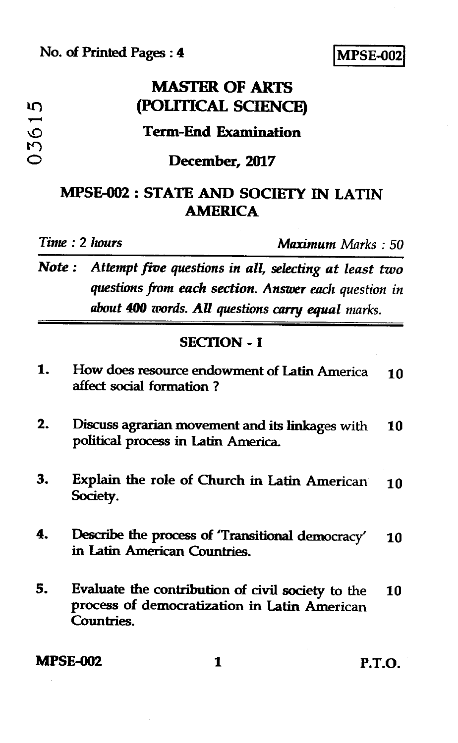### **No. of Printed Pages : 4 I MPSE-002)**

|      | <b>MASTER OF ARTS</b>                                         |  |
|------|---------------------------------------------------------------|--|
| ŋ    | (POLITICAL SCIENCE)                                           |  |
| 0361 | <b>Term-End Examination</b>                                   |  |
|      | December, 2017                                                |  |
|      | <b>MPSE-002: STATE AND SOCIETY IN LATIN</b><br><b>AMERICA</b> |  |
|      | Time: 2 hours<br><b>Maximum</b> Marks: 50                     |  |

*Note : Attempt five questions in all, selecting at least two questions from each section. Answer each question in about 400 words. All questions carry equal marks.* 

#### **SECTION - I**

| 1. | How does resource endowment of Latin America<br>affect social formation?                                        | 10 |
|----|-----------------------------------------------------------------------------------------------------------------|----|
| 2. | Discuss agrarian movement and its linkages with<br>political process in Latin America.                          | 10 |
| З. | Explain the role of Church in Latin American<br>Society.                                                        | 10 |
| 4. | Describe the process of 'Transitional democracy'<br>in Latin American Countries.                                | 10 |
| 5. | Evaluate the contribution of civil society to the<br>process of democratization in Latin American<br>Countries. | 10 |

**MPSE-002 1 P.T.O.**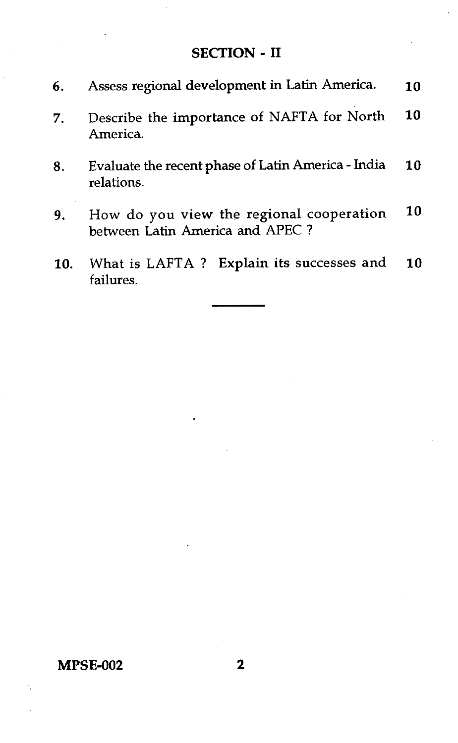#### SECTION - II

- 6. Assess regional development in Latin America. 10
- 7. Describe the importance of NAFTA for North 10 America.
- 8. Evaluate the recent phase of Latin America India 10 relations.
- 9. How do you view the regional cooperation 10 between Latin America and APEC ?
- 10. What is LAFTA ? Explain its successes and 10 failures.

#### **MPSE-002** 2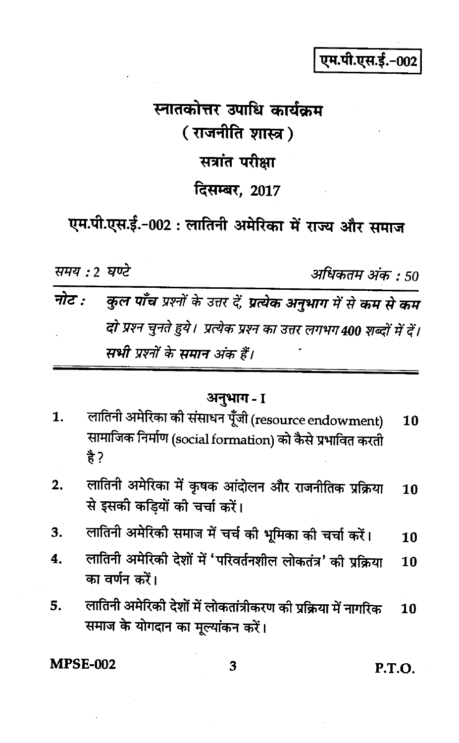## एम.पी.एस.ई.-00.

# स्नातकोत्तर उपाधि कार्यकम ( राजनीति शास्त्र ) सत्रांत परीक्षा दिसम्बर, 2017

एम.पी.एस.ई.-002 : लातिनी अमेरिका में राज्य और समाज

समय : ? घण्टे

अधिकतम अंक • 50

कुल पाँच प्रश्नों के उत्तर दें, प्रत्येक अनुभाग में से कम से कम नोट  $\cdot$ दो प्रश्न चुनते हुये। प्रत्येक प्रश्न का उत्तर लगभग 400 शब्दों में दें। सभी प्रश्नों के समान अंक हैं।

अनुभाग - I

- लातिनी अमेरिका की संसाधन पूँजी (resource endowment) 1. 10 सामाजिक निर्माण (social formation) को कैसे प्रभावित करती 숨?
- लातिनी अमेरिका में कृषक आंदोलन और राजनीतिक प्रक्रिया  $2.$ 10 से इसकी कडियों की चर्चा करें।
- लातिनी अमेरिकी समाज में चर्च की भूमिका की चर्चा करें।  $3.$ 10
- लातिनी अमेरिकी देशों में 'परिवर्तनशील लोकतंत्र' की प्रक्रिया  $\overline{\mathbf{4}}$ . 10 का वर्णन करें।
- लातिनी अमेरिकी देशों में लोकतांत्रीकरण की प्रक्रिया में नागरिक 5. 10 समाज के योगदान का मुल्यांकन करें।

**MPSE-002** 

3

**P.T.O.**